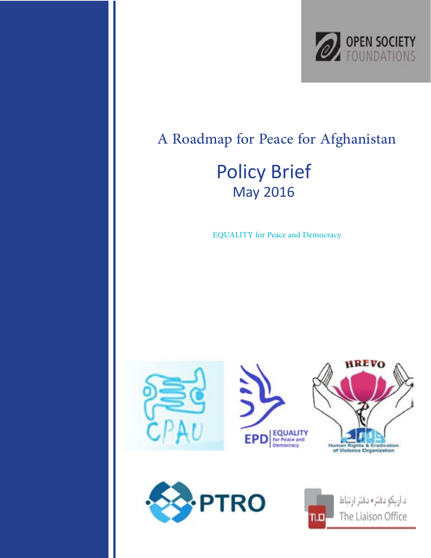

#### A Roadmap for Peace for Afghanistan **Policy Brief May 2016**

EQUALITY for Peace and Democracy





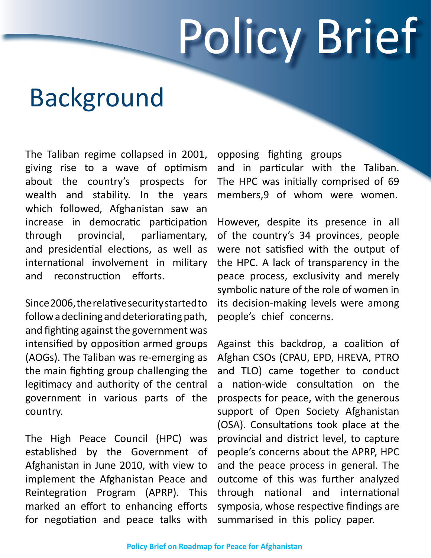# Policy Brief

## Background

The Taliban regime collapsed in 2001, giving rise to a wave of optimism about the country's prospects for wealth and stability. In the years which followed, Afghanistan saw an increase in democratic participation through provincial, parliamentary, and presidential elections, as well as international involvement in military and reconstruction efforts.

Since 2006, the relative security started to follow a declining and deteriorating path, and fighting against the government was intensified by opposition armed groups (AOGs). The Taliban was re-emerging as the main fighting group challenging the legitimacy and authority of the central government in various parts of the .country

The High Peace Council (HPC) was established by the Government of Afghanistan in June 2010, with view to implement the Afghanistan Peace and Reintegration Program (APRP). This marked an effort to enhancing efforts for negotiation and peace talks with opposing fighting groups and in particular with the Taliban. The HPC was initially comprised of 69 members,9 of whom were women.

However, despite its presence in all of the country's 34 provinces, people were not satisfied with the output of the HPC. A lack of transparency in the peace process, exclusivity and merely symbolic nature of the role of women in its decision-making levels were among people's chief concerns.

Against this backdrop, a coalition of Afghan CSOs (CPAU, EPD, HREVA, PTRO and TLO) came together to conduct a nation-wide consultation on the prospects for peace, with the generous support of Open Society Afghanistan (OSA). Consultations took place at the provincial and district level, to capture people's concerns about the APRP, HPC and the peace process in general. The outcome of this was further analyzed through national and international symposia, whose respective findings are summarised in this policy paper.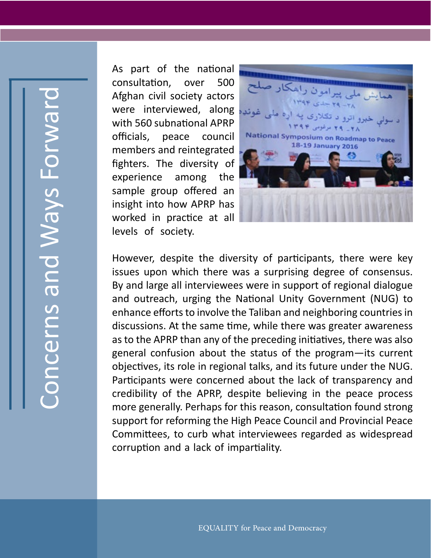As part of the national consultation, over 500 Afghan civil society actors were interviewed, along with 560 subnational APRP officials, peace council members and reintegrated fighters. The diversity of experience among the sample group offered an insight into how APRP has worked in practice at all levels of society.



However, despite the diversity of participants, there were key issues upon which there was a surprising degree of consensus. By and large all interviewees were in support of regional dialogue and outreach, urging the National Unity Government (NUG) to enhance efforts to involve the Taliban and neighboring countries in discussions. At the same time, while there was greater awareness as to the APRP than any of the preceding initiatives, there was also general confusion about the status of the program  $-$  its current objectives, its role in regional talks, and its future under the NUG. Participants were concerned about the lack of transparency and credibility of the APRP, despite believing in the peace process more generally. Perhaps for this reason, consultation found strong support for reforming the High Peace Council and Provincial Peace Committees, to curb what interviewees regarded as widespread corruption and a lack of impartiality.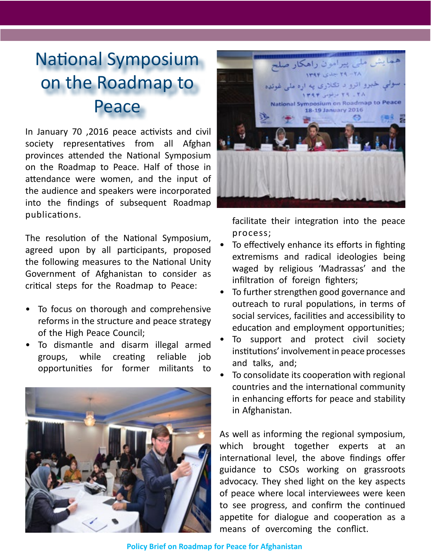#### **National Symposium** on the Roadmap to Peace

In January 70, 2016 peace activists and civil society representatives from all Afghan provinces attended the National Symposium on the Roadmap to Peace. Half of those in attendance were women, and the input of the audience and speakers were incorporated into the findings of subsequent Roadmap .publications

The resolution of the National Symposium, agreed upon by all participants, proposed the following measures to the National Unity Government of Afghanistan to consider as critical steps for the Roadmap to Peace:

- To focus on thorough and comprehensive reforms in the structure and peace strategy of the High Peace Council;
- To dismantle and disarm illegal armed groups, while creating reliable job opportunities for former militants to





facilitate their integration into the peace ;process

- To effectively enhance its efforts in fighting extremisms and radical ideologies being waged by religious 'Madrassas' and the infiltration of foreign fighters;
- To further strengthen good governance and outreach to rural populations, in terms of social services, facilities and accessibility to education and employment opportunities;
- To support and protect civil society institutions' involvement in peace processes and talks, and;
- To consolidate its cooperation with regional countries and the international community in enhancing efforts for peace and stability in Afghanistan.

As well as informing the regional symposium, which brought together experts at an international level, the above findings offer guidance to CSOs working on grassroots advocacy. They shed light on the key aspects of peace where local interviewees were keen to see progress, and confirm the continued appetite for dialogue and cooperation as a means of overcoming the conflict.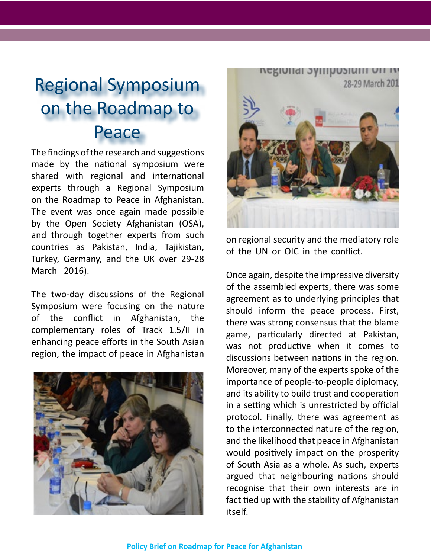#### **Regional Symposium** on the Roadmap to Peace

The findings of the research and suggestions made by the national symposium were shared with regional and international experts through a Regional Symposium on the Roadmap to Peace in Afghanistan. The event was once again made possible by the Open Society Afghanistan (OSA), and through together experts from such countries as Pakistan, India, Tajikistan, Turkey, Germany, and the UK over 29-28 March 2016).

The two-day discussions of the Regional Symposium were focusing on the nature of the conflict in Afghanistan, the complementary roles of Track 1.5/II in enhancing peace efforts in the South Asian region, the impact of peace in Afghanistan





on regional security and the mediatory role of the UN or OIC in the conflict.

Once again, despite the impressive diversity of the assembled experts, there was some agreement as to underlying principles that should inform the peace process. First, there was strong consensus that the blame game, particularly directed at Pakistan, was not productive when it comes to discussions between nations in the region. Moreover, many of the experts spoke of the importance of people-to-people diplomacy, and its ability to build trust and cooperation in a setting which is unrestricted by official protocol. Finally, there was agreement as to the interconnected nature of the region, and the likelihood that peace in Afghanistan would positively impact on the prosperity of South Asia as a whole. As such, experts argued that neighbouring nations should recognise that their own interests are in fact tied up with the stability of Afghanistan .itself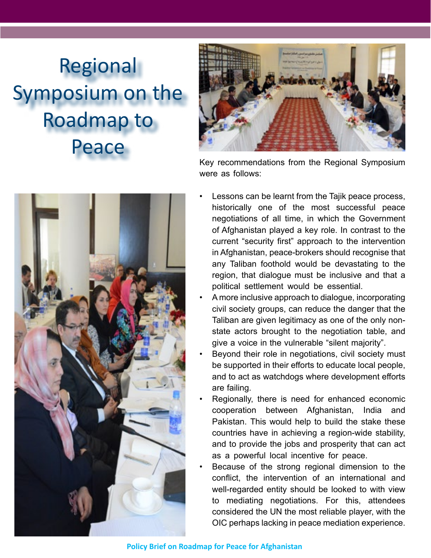## Regional Symposium on the Roadmap to Peace



Key recommendations from the Regional Symposium were as follows:

- Lessons can be learnt from the Tajik peace process, historically one of the most successful peace negotiations of all time, in which the Government of Afghanistan played a key role. In contrast to the current "security first" approach to the intervention in Afghanistan, peace-brokers should recognise that any Taliban foothold would be devastating to the region, that dialogue must be inclusive and that a political settlement would be essential. A more inclusive approach to dialogue, incorporating civil society groups, can reduce the danger that the state actors brought to the negotiation table, and Taliban are given legitimacy as one of the only non-
	- Beyond their role in negotiations, civil society must be supported in their efforts to educate local people, and to act as watchdogs where development efforts are failing.

give a voice in the vulnerable "silent majority".

- Regionally, there is need for enhanced economic cooperation between Afghanistan, India and Pakistan. This would help to build the stake these countries have in achieving a region-wide stability, and to provide the jobs and prosperity that can act as a powerful local incentive for peace.
- Because of the strong regional dimension to the conflict, the intervention of an international and well-regarded entity should be looked to with view to mediating negotiations. For this, attendees considered the UN the most reliable player, with the OIC perhaps lacking in peace mediation experience.